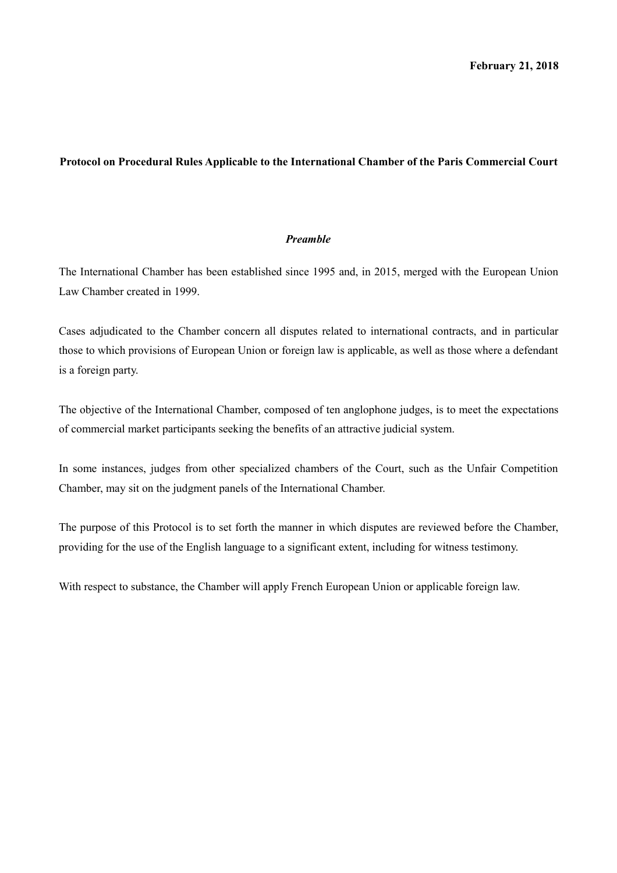#### **Protocol on Procedural Rules Applicable to the International Chamber of the Paris Commercial Court**

#### *Preamble*

The International Chamber has been established since 1995 and, in 2015, merged with the European Union Law Chamber created in 1999.

Cases adjudicated to the Chamber concern all disputes related to international contracts, and in particular those to which provisions of European Union or foreign law is applicable, as well as those where a defendant is a foreign party.

The objective of the International Chamber, composed of ten anglophone judges, is to meet the expectations of commercial market participants seeking the benefits of an attractive judicial system.

In some instances, judges from other specialized chambers of the Court, such as the Unfair Competition Chamber, may sit on the judgment panels of the International Chamber.

The purpose of this Protocol is to set forth the manner in which disputes are reviewed before the Chamber, providing for the use of the English language to a significant extent, including for witness testimony.

With respect to substance, the Chamber will apply French European Union or applicable foreign law.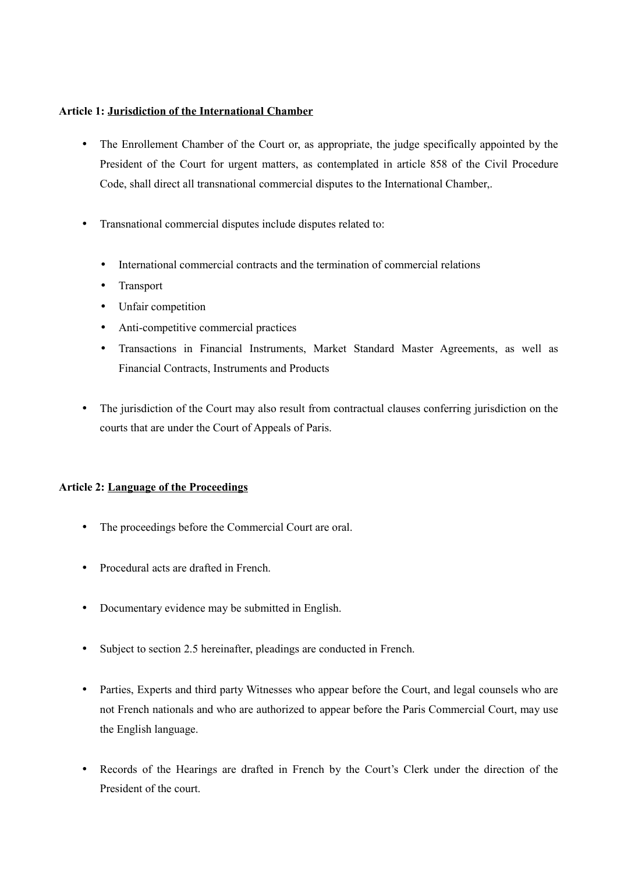### **Article 1: Jurisdiction of the International Chamber**

- The Enrollement Chamber of the Court or, as appropriate, the judge specifically appointed by the President of the Court for urgent matters, as contemplated in article 858 of the Civil Procedure Code, shall direct all transnational commercial disputes to the International Chamber,.
- Transnational commercial disputes include disputes related to:
	- International commercial contracts and the termination of commercial relations
	- Transport
	- Unfair competition
	- Anti-competitive commercial practices
	- Transactions in Financial Instruments, Market Standard Master Agreements, as well as Financial Contracts, Instruments and Products
- The jurisdiction of the Court may also result from contractual clauses conferring jurisdiction on the courts that are under the Court of Appeals of Paris.

# **Article 2: Language of the Proceedings**

- The proceedings before the Commercial Court are oral.
- Procedural acts are drafted in French.
- Documentary evidence may be submitted in English.
- Subject to section 2.5 hereinafter, pleadings are conducted in French.
- Parties, Experts and third party Witnesses who appear before the Court, and legal counsels who are not French nationals and who are authorized to appear before the Paris Commercial Court, may use the English language.
- Records of the Hearings are drafted in French by the Court's Clerk under the direction of the President of the court.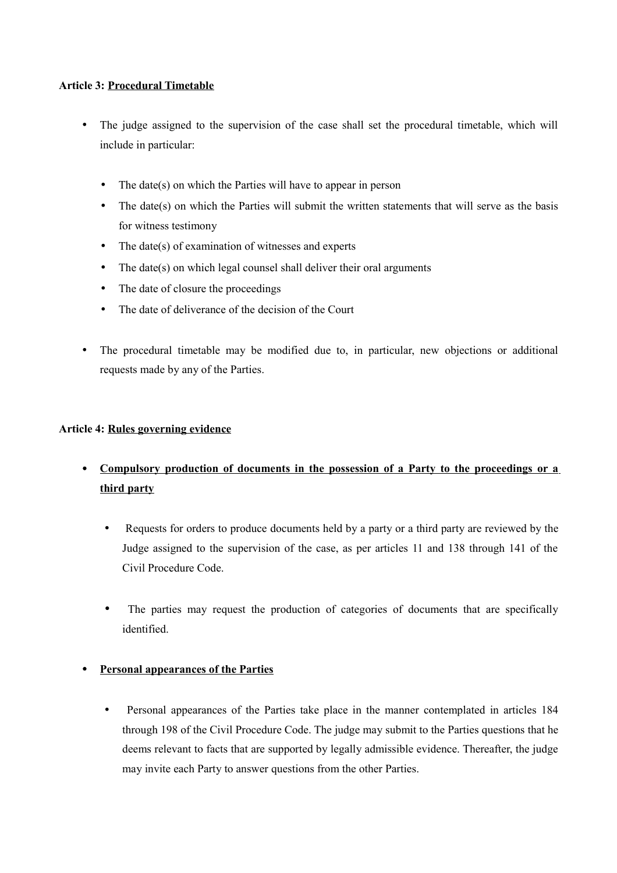# **Article 3: Procedural Timetable**

- The judge assigned to the supervision of the case shall set the procedural timetable, which will include in particular:
	- The date(s) on which the Parties will have to appear in person
	- The date(s) on which the Parties will submit the written statements that will serve as the basis for witness testimony
	- The date(s) of examination of witnesses and experts
	- The date(s) on which legal counsel shall deliver their oral arguments
	- The date of closure the proceedings
	- The date of deliverance of the decision of the Court
- The procedural timetable may be modified due to, in particular, new objections or additional requests made by any of the Parties.

#### **Article 4: Rules governing evidence**

- • **Compulsory production of documents in the possession of a Party to the proceedings or a third party**
	- Requests for orders to produce documents held by a party or a third party are reviewed by the Judge assigned to the supervision of the case, as per articles 11 and 138 through 141 of the Civil Procedure Code.
	- The parties may request the production of categories of documents that are specifically identified.

# • **Personal appearances of the Parties**

• Personal appearances of the Parties take place in the manner contemplated in articles 184 through 198 of the Civil Procedure Code. The judge may submit to the Parties questions that he deems relevant to facts that are supported by legally admissible evidence. Thereafter, the judge may invite each Party to answer questions from the other Parties.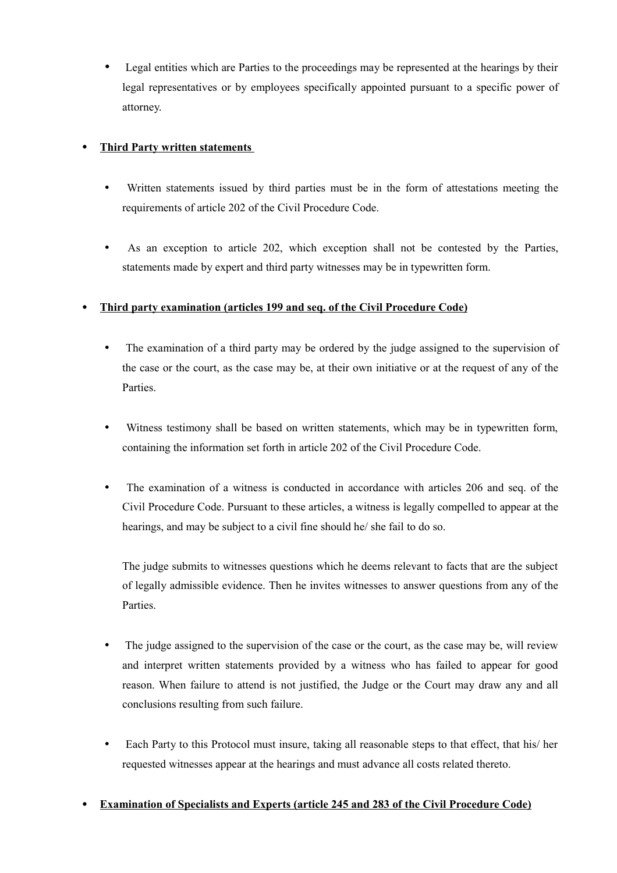• Legal entities which are Parties to the proceedings may be represented at the hearings by their legal representatives or by employees specifically appointed pursuant to a specific power of attorney.

# • **Third Party written statements**

- Written statements issued by third parties must be in the form of attestations meeting the requirements of article 202 of the Civil Procedure Code.
- As an exception to article 202, which exception shall not be contested by the Parties, statements made by expert and third party witnesses may be in typewritten form.

# • **Third party examination (articles 199 and seq. of the Civil Procedure Code)**

- The examination of a third party may be ordered by the judge assigned to the supervision of the case or the court, as the case may be, at their own initiative or at the request of any of the **Parties**
- Witness testimony shall be based on written statements, which may be in typewritten form, containing the information set forth in article 202 of the Civil Procedure Code.
- The examination of a witness is conducted in accordance with articles 206 and seq. of the Civil Procedure Code. Pursuant to these articles, a witness is legally compelled to appear at the hearings, and may be subject to a civil fine should he/ she fail to do so.

The judge submits to witnesses questions which he deems relevant to facts that are the subject of legally admissible evidence. Then he invites witnesses to answer questions from any of the Parties.

- The judge assigned to the supervision of the case or the court, as the case may be, will review and interpret written statements provided by a witness who has failed to appear for good reason. When failure to attend is not justified, the Judge or the Court may draw any and all conclusions resulting from such failure.
- Each Party to this Protocol must insure, taking all reasonable steps to that effect, that his/ her requested witnesses appear at the hearings and must advance all costs related thereto.

# • **Examination of Specialists and Experts (article 245 and 283 of the Civil Procedure Code)**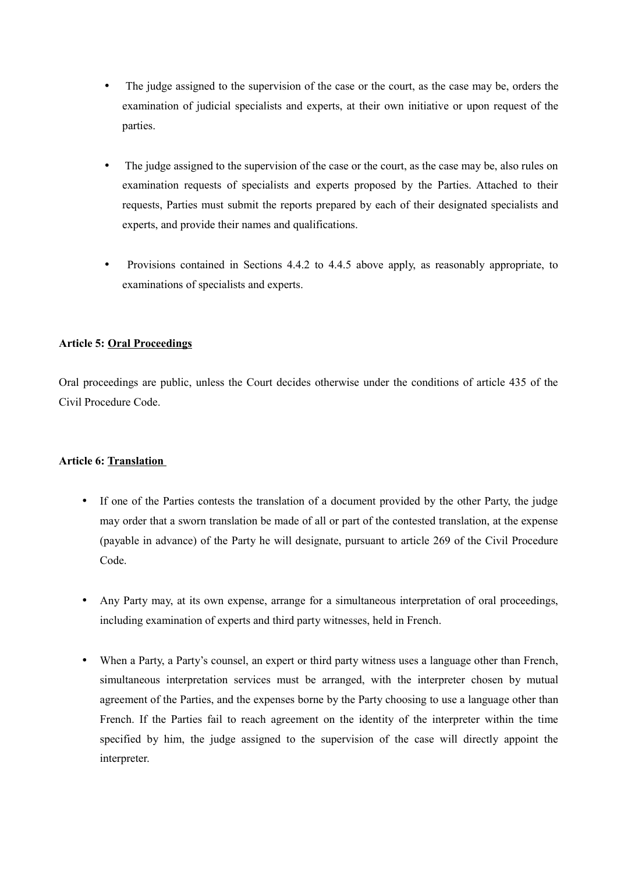- The judge assigned to the supervision of the case or the court, as the case may be, orders the examination of judicial specialists and experts, at their own initiative or upon request of the parties.
- The judge assigned to the supervision of the case or the court, as the case may be, also rules on examination requests of specialists and experts proposed by the Parties. Attached to their requests, Parties must submit the reports prepared by each of their designated specialists and experts, and provide their names and qualifications.
- Provisions contained in Sections 4.4.2 to 4.4.5 above apply, as reasonably appropriate, to examinations of specialists and experts.

# **Article 5: Oral Proceedings**

Oral proceedings are public, unless the Court decides otherwise under the conditions of article 435 of the Civil Procedure Code.

# **Article 6: Translation**

- If one of the Parties contests the translation of a document provided by the other Party, the judge may order that a sworn translation be made of all or part of the contested translation, at the expense (payable in advance) of the Party he will designate, pursuant to article 269 of the Civil Procedure Code.
- Any Party may, at its own expense, arrange for a simultaneous interpretation of oral proceedings, including examination of experts and third party witnesses, held in French.
- When a Party, a Party's counsel, an expert or third party witness uses a language other than French, simultaneous interpretation services must be arranged, with the interpreter chosen by mutual agreement of the Parties, and the expenses borne by the Party choosing to use a language other than French. If the Parties fail to reach agreement on the identity of the interpreter within the time specified by him, the judge assigned to the supervision of the case will directly appoint the interpreter.